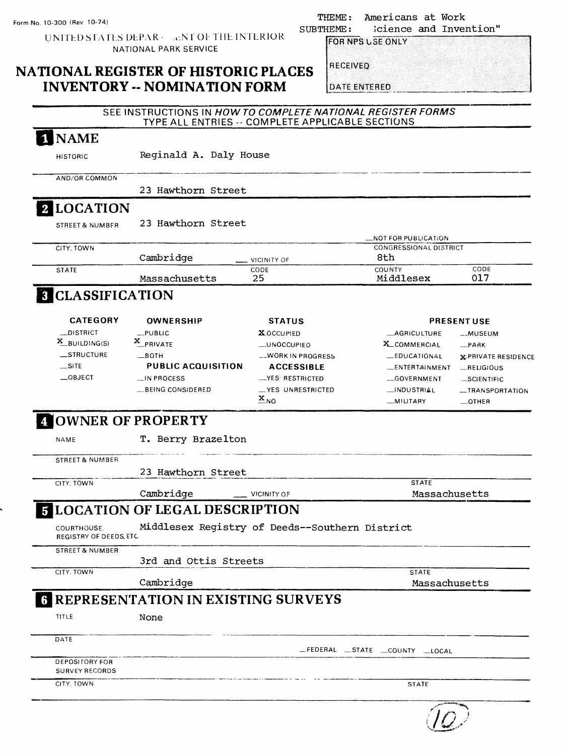THEME: Americans at Work<br>SUBTHEME: Science and Inver Science and Invention"

UNITED STATES DEPAR . . cNT OF THE INTERIOR NATIONAL PARK SERVICE

## **NATIONAL REGISTER OF HISTORIC PLACES INVENTORY -- NOMINATION FORM**

**RECEIVED** 

**DATE ENTERED** 

FOR NPS USE ONLY

|                                              |                                                     | TYPE ALL ENTRIES -- COMPLETE APPLICABLE SECTIONS | SEE INSTRUCTIONS IN HOW TO COMPLETE NATIONAL REGISTER FORMS |                            |
|----------------------------------------------|-----------------------------------------------------|--------------------------------------------------|-------------------------------------------------------------|----------------------------|
| <b>NAME</b>                                  |                                                     |                                                  |                                                             |                            |
| <b>HISTORIC</b>                              | Reginald A. Daly House                              |                                                  |                                                             |                            |
| AND/OR COMMON                                |                                                     |                                                  |                                                             |                            |
|                                              | 23 Hawthorn Street                                  |                                                  |                                                             |                            |
| 2 LOCATION                                   |                                                     |                                                  |                                                             |                            |
| <b>STREET &amp; NUMBER</b>                   | 23 Hawthorn Street                                  |                                                  |                                                             |                            |
|                                              |                                                     |                                                  | $\_$ NOT FOR PUBLICATION                                    |                            |
| CITY, TOWN                                   | Cambridge                                           | VICINITY OF                                      | CONGRESSIONAL DISTRICT<br>8th                               |                            |
| <b>STATE</b>                                 |                                                     | CODE                                             | <b>COUNTY</b>                                               | CODE                       |
|                                              | Massachusetts                                       | 25                                               | Middlesex                                                   | 017                        |
| 3 CLASSIFICATION                             |                                                     |                                                  |                                                             |                            |
| <b>CATEGORY</b>                              | OWNERSHIP                                           | <b>STATUS</b>                                    |                                                             | <b>PRESENT USE</b>         |
| <b>_DISTRICT</b>                             | $-$ PUBLIC                                          | <b>XOCCUPIED</b>                                 | AGRICULTURE                                                 | __MUSEUM                   |
| $X$ BUILDING(S)                              | X_PRIVATE                                           | <b>LUNOCCUPIED</b>                               | X_COMMERCIAL                                                | $-$ PARK                   |
| _STRUCTURE                                   | $\equiv$ BOTH                                       | __WORK IN PROGRESS                               | <b>LEDUCATIONAL</b>                                         | <b>x-PRIVATE RESIDENCE</b> |
| $\equiv$ SITE                                | <b>PUBLIC ACQUISITION</b>                           | <b>ACCESSIBLE</b>                                | ENTERTAINMENT                                               | $-$ RELIGIOUS              |
| $\equiv$ OBJECT                              | __IN PROCESS                                        | -YES RESTRICTED                                  | -GOVERNMENT                                                 |                            |
|                                              |                                                     |                                                  |                                                             | ._SCIENTIFIC               |
|                                              |                                                     |                                                  |                                                             |                            |
|                                              | BEING CONSIDERED                                    | _YES UNRESTRICTED<br>$\mathbf{X}_{\text{NO}}$    | __INDUSTRIAL<br>_MILITARY                                   | $-$ OTHER                  |
| NAME                                         | <b>4 OWNER OF PROPERTY</b><br>T. Berry Brazelton    |                                                  |                                                             | -TRANSPORTATION            |
| <b>STREET &amp; NUMBER</b>                   |                                                     |                                                  |                                                             |                            |
|                                              |                                                     |                                                  |                                                             |                            |
| CITY, TOWN                                   | 23 Hawthorn Street                                  |                                                  | <b>STATE</b>                                                |                            |
|                                              | Cambridge                                           | <b>VICINITY OF</b>                               | Massachusetts                                               |                            |
|                                              | <b>FLOCATION OF LEGAL DESCRIPTION</b>               |                                                  |                                                             |                            |
| COURTHOUSE.<br><b>REGISTRY OF DEEDS, ETC</b> | Middlesex Registry of Deeds--Southern District      |                                                  |                                                             |                            |
| <b>STREET &amp; NUMBER</b>                   |                                                     |                                                  |                                                             |                            |
| CITY. TOWN                                   | 3rd and Ottis Streets                               |                                                  | <b>STATE</b>                                                |                            |
|                                              | Cambridge                                           |                                                  | Massachusetts                                               |                            |
|                                              |                                                     |                                                  |                                                             |                            |
| TITLE                                        | <b>6 REPRESENTATION IN EXISTING SURVEYS</b><br>None |                                                  |                                                             |                            |
| DATE                                         |                                                     |                                                  |                                                             |                            |
| DEPOSITORY FOR<br><b>SURVEY RECORDS</b>      |                                                     |                                                  | FEDERAL STATE COUNTY LOCAL                                  |                            |

 $\overline{f(\mathcal{Q})}$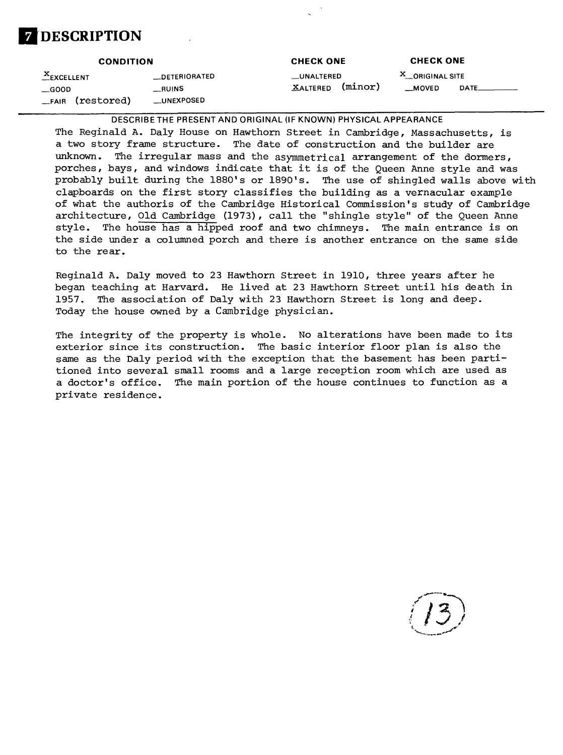## **DESCRIPTION**

#### **CONDITION .^EXCELLENT —DETERIORATED \_GOOD \_RUINS** \_FAIR (restored) \_UNEXPOSED **CHECK ONE \_UNALTERED**  $X$ ALTERED (minor) **CHECK ONE X\_\_ORIGINALSITE \_MOVED DATE\_**

DESCRIBE THE PRESENT AND ORIGINAL (IF KNOWN) PHYSICAL APPEARANCE

The Reginald A. Daly House on Hawthorn Street in Cambridge, Massachusetts, is a two story frame structure. The date of construction and the builder are unknown. The irregular mass and the asymmetrical arrangement of the dormers, porches, bays, and windows indicate that it is of the Queen Anne style and was probably built during the 1880's or 1890's. The use of shingled walls above with clapboards on the first story classifies the building as a vernacular example of what the authoris of the Cambridge Historical Commission's study of Cambridge architecture, Old Cambridge (1973), call the "shingle style" of the Queen Anne style. The house has a hipped roof and two chimneys. The main entrance is on the side under a columned porch and there is another entrance on the same side to the rear.

Reginald A. Daly moved to 23 Hawthorn Street in 1910, three years after he began teaching at Harvard. He lived at 23 Hawthorn Street until his death in 1957. The association of Daly with 23 Hawthorn Street is long and deep. Today the house owned by a Cambridge physician.

The integrity of the property is whole. No alterations have been made to its exterior since its construction. The basic interior floor plan is also the same as the Daly period with the exception that the basement has been partitioned into several small rooms and a large reception room which are used as a doctor's office. The main portion of the house continues to function as a private residence.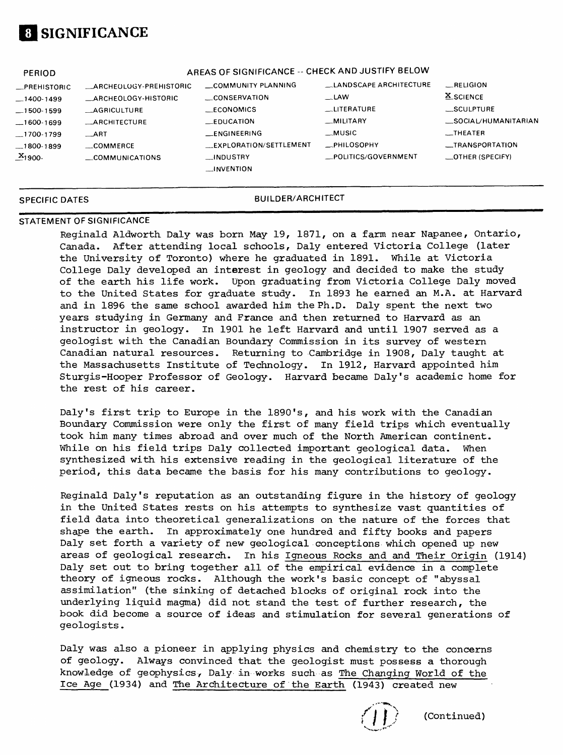

| <b>PERIOD</b>                                                                                                     |                                                                                                                                                 | AREAS OF SIGNIFICANCE -- CHECK AND JUSTIFY BELOW                                                                                                |                                                                                                                          |                                                                                                                                                   |
|-------------------------------------------------------------------------------------------------------------------|-------------------------------------------------------------------------------------------------------------------------------------------------|-------------------------------------------------------------------------------------------------------------------------------------------------|--------------------------------------------------------------------------------------------------------------------------|---------------------------------------------------------------------------------------------------------------------------------------------------|
| <b>_PREHISTORIC</b><br>$-1400-1499$<br>$-1500-1599$<br>$-1600-1699$<br>$-1700-1799$<br>$-1800-1899$<br>$X_{1900}$ | <b>ARCHEOLOGY-PREHISTORIC</b><br>_ARCHEOLOGY-HISTORIC<br><b>_AGRICULTURE</b><br><b>ARCHITECTURE</b><br><b>ART</b><br>COMMERCE<br>COMMUNICATIONS | COMMUNITY PLANNING<br>CONSERVATION<br><b>ECONOMICS</b><br>$\equiv$ EDUCATION<br><b>ENGINEERING</b><br>EXPLORATION/SETTLEMENT<br><b>INDUSTRY</b> | LANDSCAPE ARCHITECTURE<br>$\equiv$ LAW<br><b>LITERATURE</b><br>_MILITARY<br>. MUSIC<br>PHILOSOPHY<br>POLITICS/GOVERNMENT | RELIGION<br><b>X_SCIENCE</b><br>$\_$ SCULPTURE<br>SOCIAL/HUMANITARIAN<br>$\overline{\phantom{0}}$ THEATER<br>__TRANSPORTATION<br>_OTHER (SPECIFY) |
|                                                                                                                   |                                                                                                                                                 | <b>INVENTION</b>                                                                                                                                |                                                                                                                          |                                                                                                                                                   |

#### **SPECIFIC DATES BUILDER/ARCHITECT**

#### **STATEMENT OF SIGNIFICANCE**

Reginald Aldworth Daly was born May 19, 1871, on a farm near Napanee, Ontario, Canada. After attending local schools, Daly entered Victoria College (later the University of Toronto) where he graduated in 1891. While at Victoria College Daly developed an interest in geology and decided to make the study of the earth his life work. Upon graduating from Victoria College Daly moved to the United States for graduate study. In 1893 he earned an M.A. at Harvard and in 1896 the same school awarded him the Ph.D. Daly spent the next two years studying in Germany and France and then returned to Harvard as an instructor in geology. In 1901 he left Harvard and until 1907 served as a geologist with the Canadian Boundary Commission in its survey of western Canadian natural resources. Returning to Cambridge in 1908, Daly taught at the Massachusetts Institute of Technology. In 1912, Harvard appointed him Sturgis-Hooper Professor of Geology. Harvard became Daly's academic home for the rest of his career.

Daly's first trip to Europe in the 1890's, and his work with the Canadian Boundary Commission were only the first of many field trips which eventually took him many times abroad and over much of the North American continent. While on his field trips Daly collected important geological data. When synthesized with his extensive reading in the geological literature of the period, this data became the basis for his many contributions to geology.

Reginald Daly's reputation as an outstanding figure in the history of geology in the United States rests on his attempts to synthesize vast quantities of field data into theoretical generalizations on the nature of the forces that shape the earth. In approximately one hundred and fifty books and papers Daly set forth a variety of new geological conceptions which opened up new areas of geological research. In his Igneous Rocks and and Their Origin (1914) Daly set out to bring together all of the empirical evidence in a complete theory of igneous rocks. Although the work's basic concept of "abyssal assimilation" (the sinking of detached blocks of original rock into the underlying liquid magma) did not stand the test of further research, the book did become a source of ideas and stimulation for several generations of geologists.

Daly was also a pioneer in applying physics and chemistry to the concerns of geology. Always convinced that the geologist must possess a thorough knowledge of geophysics/ Daly in works such as The Changing World of the Ice Age (1934) and The Architecture of the Earth (1943) created new

(Continued)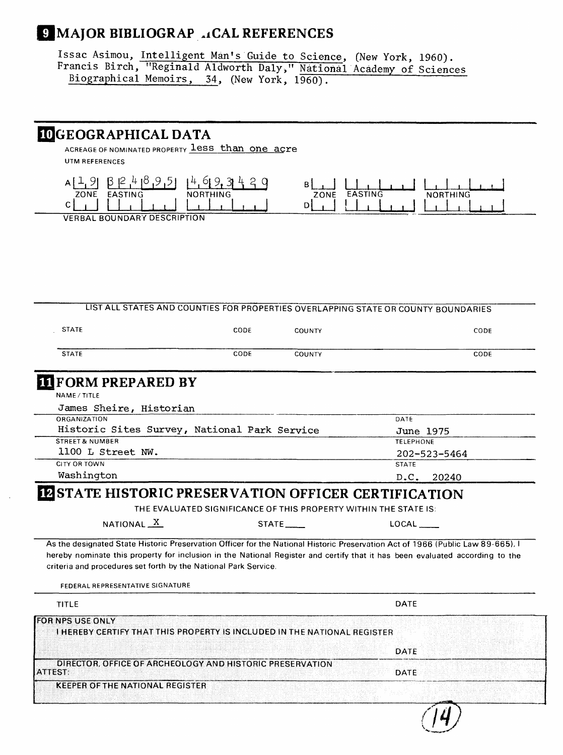## **(MAJOR BIBLIOGRAP .iCAL REFERENCES**

Issac Asimou, Intelligent Man's Guide to Science, (New York, 1960). Francis Birch, "Reginald Aldworth Daly," National Academy of Sciences Biographical Memoirs, 34, (New York, 1960).

#### **BJGEOGRAPHICAL DATA**

ACREAGE OF NOMINATED PROPERTY less than one acre UTM REFERENCES



VERBAL BOUNDARY DESCRIPTION

#### LIST ALL STATES AND COUNTIES FOR PROPERTIES OVERLAPPING STATE OR COUNTY BOUNDARIES

| <b>STATE</b> | CODE | <b>COUNTY</b> | CODE |
|--------------|------|---------------|------|
| <b>STATE</b> | CODE | <b>COUNTY</b> | CODE |

## **FORM PREPARED BY**

NAME/TITLE

| James Sheire, Historian                      |                  |
|----------------------------------------------|------------------|
| <b>ORGANIZATION</b>                          | DATE             |
| Historic Sites Survey, National Park Service | June 1975        |
| <b>STREET &amp; NUMBER</b>                   | <b>TELEPHONE</b> |
| 1100 L Street NW.                            | 202-523-5464     |
| CITY OR TOWN                                 | <b>STATE</b>     |
| Washington                                   | D.C. 20240       |

#### **BESTATE HISTORIC PRESERVATION OFFICER CERTIFICATION**

THE EVALUATED SIGNIFICANCE OF THIS PROPERTY WITHIN THE STATE IS:

| NATIONAL $\frac{X}{X}$ | <b>STATE</b> |
|------------------------|--------------|
|------------------------|--------------|

As the designated State Historic Preservation Officer for the National Historic Preservation Act of 1966 (Public Law 89-665), I hereby nominate this property for inclusion in the National Register and certify that it has been evaluated according to the criteria and procedures set forth by the National Park Service.

TITLE DATE OF THE SECOND PROPERTY OF THE SECOND SECOND SECOND DESCRIPTION OF THE SECOND SECOND DESCRIPTION OF **FOR NPS USE ONLY** I HEREBY CERTIFY THAT THIS PROPERTY IS INCLUDED IN THE NATIONAL REGISTER DATE DIRECTOR, OFFICE OF ARCHEOLOGY AND HISTORIC PRESERVATION **ATTEST:** DATE**KEEPER OF THE NATIONAL REGISTER** 

 $LOCAL$